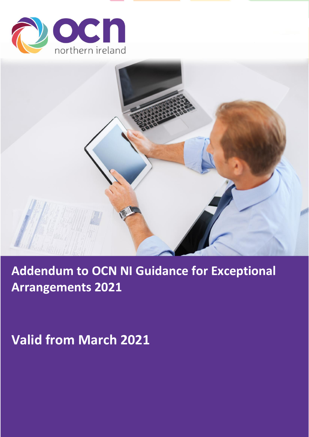



# **Addendum to OCN NI Guidance for Exceptional Arrangements 2021**

**Valid from March 2021**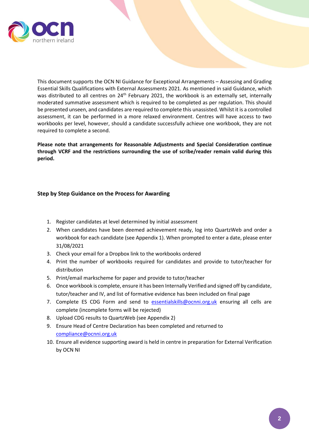

This document supports the OCN NI Guidance for Exceptional Arrangements – Assessing and Grading Essential Skills Qualifications with External Assessments 2021. As mentioned in said Guidance, which was distributed to all centres on 24<sup>th</sup> February 2021, the workbook is an externally set, internally moderated summative assessment which is required to be completed as per regulation. This should be presented unseen, and candidates are required to complete this unassisted. Whilst it is a controlled assessment, it can be performed in a more relaxed environment. Centres will have access to two workbooks per level, however, should a candidate successfully achieve one workbook, they are not required to complete a second.

**Please note that arrangements for Reasonable Adjustments and Special Consideration continue through VCRF and the restrictions surrounding the use of scribe/reader remain valid during this period.**

#### **Step by Step Guidance on the Process for Awarding**

- 1. Register candidates at level determined by initial assessment
- 2. When candidates have been deemed achievement ready, log into QuartzWeb and order a workbook for each candidate (see Appendix 1). When prompted to enter a date, please enter 31/08/2021
- 3. Check your email for a Dropbox link to the workbooks ordered
- 4. Print the number of workbooks required for candidates and provide to tutor/teacher for distribution
- 5. Print/email markscheme for paper and provide to tutor/teacher
- 6. Once workbook is complete, ensure it has been Internally Verified and signed off by candidate, tutor/teacher and IV, and list of formative evidence has been included on final page
- 7. Complete ES CDG Form and send to [essentialskills@ocnni.org.uk](mailto:essentialskills@ocnni.org.uk) ensuring all cells are complete (incomplete forms will be rejected)
- 8. Upload CDG results to QuartzWeb (see Appendix 2)
- 9. Ensure Head of Centre Declaration has been completed and returned to [compliance@ocnni.org.uk](mailto:compliance@ocnni.org.uk)
- 10. Ensure all evidence supporting award is held in centre in preparation for External Verification by OCN NI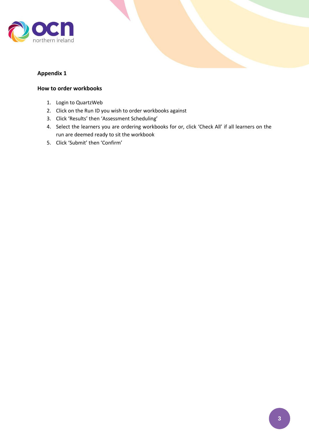

### **Appendix 1**

### **How to order workbooks**

- 1. Login to QuartzWeb
- 2. Click on the Run ID you wish to order workbooks against
- 3. Click 'Results' then 'Assessment Scheduling'
- 4. Select the learners you are ordering workbooks for or, click 'Check All' if all learners on the run are deemed ready to sit the workbook
- 5. Click 'Submit' then 'Confirm'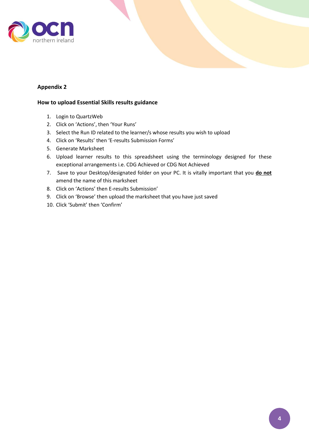

## **Appendix 2**

#### **How to upload Essential Skills results guidance**

- 1. Login to QuartzWeb
- 2. Click on 'Actions', then 'Your Runs'
- 3. Select the Run ID related to the learner/s whose results you wish to upload
- 4. Click on 'Results' then 'E-results Submission Forms'
- 5. Generate Marksheet
- 6. Upload learner results to this spreadsheet using the terminology designed for these exceptional arrangements i.e. CDG Achieved or CDG Not Achieved
- 7. Save to your Desktop/designated folder on your PC. It is vitally important that you **do not** amend the name of this marksheet
- 8. Click on 'Actions' then E-results Submission'
- 9. Click on 'Browse' then upload the marksheet that you have just saved
- 10. Click 'Submit' then 'Confirm'